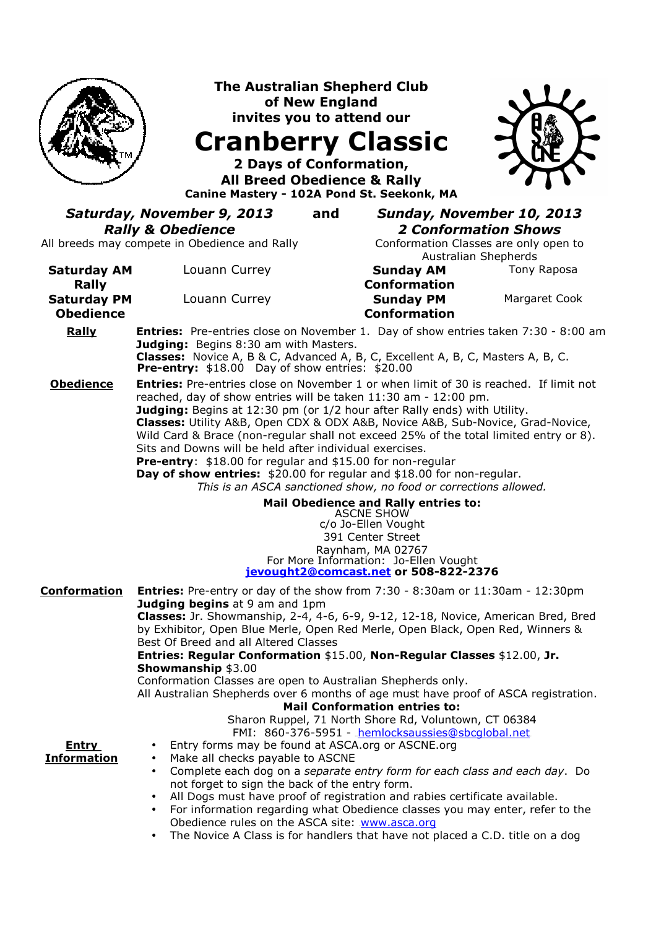|                                                 | <b>The Australian Shepherd Club</b><br>of New England<br>invites you to attend our<br><b>Cranberry Classic</b><br>2 Days of Conformation,<br><b>All Breed Obedience &amp; Rally</b><br>Canine Mastery - 102A Pond St. Seekonk, MA                                                                                                                                                                                                                                                                                                                                                                                                                                                                                                                                                                                          |                                                                                                                                                    |               |
|-------------------------------------------------|----------------------------------------------------------------------------------------------------------------------------------------------------------------------------------------------------------------------------------------------------------------------------------------------------------------------------------------------------------------------------------------------------------------------------------------------------------------------------------------------------------------------------------------------------------------------------------------------------------------------------------------------------------------------------------------------------------------------------------------------------------------------------------------------------------------------------|----------------------------------------------------------------------------------------------------------------------------------------------------|---------------|
|                                                 | Saturday, November 9, 2013<br>and<br><b>Rally &amp; Obedience</b><br>All breeds may compete in Obedience and Rally                                                                                                                                                                                                                                                                                                                                                                                                                                                                                                                                                                                                                                                                                                         | Sunday, November 10, 2013<br><b>2 Conformation Shows</b><br>Conformation Classes are only open to                                                  |               |
| <b>Saturday AM</b>                              | Louann Currey                                                                                                                                                                                                                                                                                                                                                                                                                                                                                                                                                                                                                                                                                                                                                                                                              | Australian Shepherds<br><b>Sunday AM</b>                                                                                                           | Tony Raposa   |
| Rally<br><b>Saturday PM</b><br><b>Obedience</b> | Louann Currey                                                                                                                                                                                                                                                                                                                                                                                                                                                                                                                                                                                                                                                                                                                                                                                                              | <b>Conformation</b><br><b>Sunday PM</b><br><b>Conformation</b>                                                                                     | Margaret Cook |
| Rally                                           | <b>Entries:</b> Pre-entries close on November 1. Day of show entries taken 7:30 - 8:00 am<br>Judging: Begins 8:30 am with Masters.<br>Classes: Novice A, B & C, Advanced A, B, C, Excellent A, B, C, Masters A, B, C.<br><b>Pre-entry:</b> $$18.00$ Day of show entries: $$20.00$                                                                                                                                                                                                                                                                                                                                                                                                                                                                                                                                          |                                                                                                                                                    |               |
| <b>Obedience</b>                                | <b>Entries:</b> Pre-entries close on November 1 or when limit of 30 is reached. If limit not<br>reached, day of show entries will be taken 11:30 am - 12:00 pm.<br>Judging: Begins at 12:30 pm (or 1/2 hour after Rally ends) with Utility.<br>Classes: Utility A&B, Open CDX & ODX A&B, Novice A&B, Sub-Novice, Grad-Novice,<br>Wild Card & Brace (non-regular shall not exceed 25% of the total limited entry or 8).<br>Sits and Downs will be held after individual exercises.<br>Pre-entry: \$18.00 for regular and \$15.00 for non-regular<br>Day of show entries: \$20.00 for regular and \$18.00 for non-regular.<br>This is an ASCA sanctioned show, no food or corrections allowed.<br>Mail Obedience and Rally entries to:<br><b>ASCNE SHOW</b><br>c/o Jo-Ellen Vought<br>391 Center Street<br>Raynham, MA 02767 |                                                                                                                                                    |               |
| <b>Conformation</b>                             | <b>Entries:</b> Pre-entry or day of the show from $7:30 - 8:30$ am or $11:30$ am - $12:30$ pm                                                                                                                                                                                                                                                                                                                                                                                                                                                                                                                                                                                                                                                                                                                              | For More Information: Jo-Ellen Vought<br>jevought2@comcast.net or 508-822-2376                                                                     |               |
|                                                 | Judging begins at 9 am and 1pm<br>Classes: Jr. Showmanship, 2-4, 4-6, 6-9, 9-12, 12-18, Novice, American Bred, Bred<br>by Exhibitor, Open Blue Merle, Open Red Merle, Open Black, Open Red, Winners &<br>Best Of Breed and all Altered Classes<br>Entries: Regular Conformation \$15.00, Non-Regular Classes \$12.00, Jr.<br><b>Showmanship \$3.00</b>                                                                                                                                                                                                                                                                                                                                                                                                                                                                     |                                                                                                                                                    |               |
| <u>Entry</u><br><b>Information</b>              | Conformation Classes are open to Australian Shepherds only.<br>All Australian Shepherds over 6 months of age must have proof of ASCA registration.<br>Entry forms may be found at ASCA.org or ASCNE.org<br>Make all checks payable to ASCNE<br>٠<br>Complete each dog on a separate entry form for each class and each day. Do<br>$\bullet$<br>not forget to sign the back of the entry form.<br>All Dogs must have proof of registration and rabies certificate available.<br>٠<br>For information regarding what Obedience classes you may enter, refer to the<br>$\bullet$<br>Obedience rules on the ASCA site: www.asca.org<br>The Novice A Class is for handlers that have not placed a C.D. title on a dog                                                                                                           | <b>Mail Conformation entries to:</b><br>Sharon Ruppel, 71 North Shore Rd, Voluntown, CT 06384<br>FMI: 860-376-5951 - hemlocksaussies@sbcqlobal.net |               |